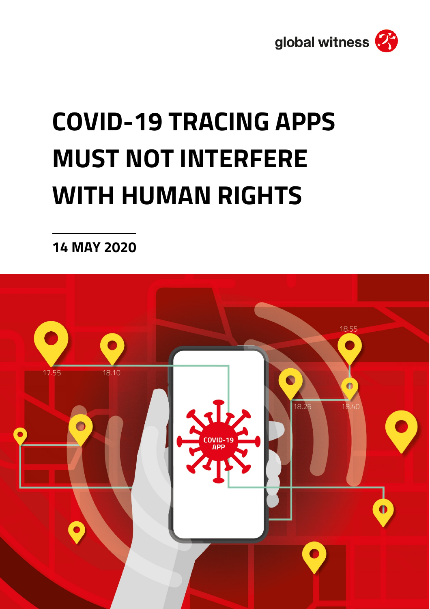

# **COVID-19 TRACING APPS MUST NOT INTERFERE WITH HUMAN RIGHTS**

**14 MAY 2020**

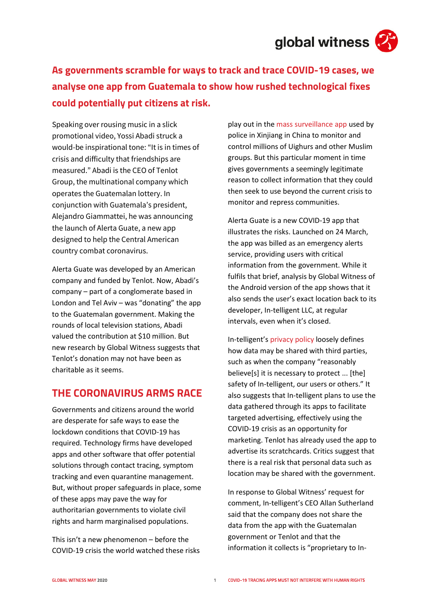

**As governments scramble for ways to track and trace COVID-19 cases, we analyse one app from Guatemala to show how rushed technological fixes could potentially put citizens at risk.**

Speaking over rousing music in a slick promotional video, Yossi Abadi struck a would-be inspirational tone: "It is in times of crisis and difficulty that friendships are measured." Abadi is the CEO of Tenlot Group, the multinational company which operates the Guatemalan lottery. In conjunction with Guatemala's president, Alejandro Giammattei, he was announcing the launch of Alerta Guate, a new app designed to help the Central American country combat coronavirus.

Alerta Guate was developed by an American company and funded by Tenlot. Now, Abadi's company – part of a conglomerate based in London and Tel Aviv – was "donating" the app to the Guatemalan government. Making the rounds of local television stations, Abadi valued the contribution at \$10 million. But new research by Global Witness suggests that Tenlot's donation may not have been as charitable as it seems.

### **THE CORONAVIRUS ARMS RACE**

Governments and citizens around the world are desperate for safe ways to ease the lockdown conditions that COVID-19 has required. Technology firms have developed apps and other software that offer potential solutions through contact tracing, symptom tracking and even quarantine management. But, without proper safeguards in place, some of these apps may pave the way for authoritarian governments to violate civil rights and harm marginalised populations.

This isn't a new phenomenon – before the COVID-19 crisis the world watched these risks play out in th[e mass surveillance app](https://www.nytimes.com/2019/05/22/world/asia/china-surveillance-xinjiang.html) used by police in Xinjiang in China to monitor and control millions of Uighurs and other Muslim groups. But this particular moment in time gives governments a seemingly legitimate reason to collect information that they could then seek to use beyond the current crisis to monitor and repress communities.

Alerta Guate is a new COVID-19 app that illustrates the risks. Launched on 24 March, the app was billed as an emergency alerts service, providing users with critical information from the government. While it fulfils that brief, analysis by Global Witness of the Android version of the app shows that it also sends the user's exact location back to its developer, In-telligent LLC, at regular intervals, even when it's closed.

In-telligent's [privacy policy](https://in-telligent.com/application-privacy-policy-2/) loosely defines how data may be shared with third parties, such as when the company "reasonably believe[s] it is necessary to protect ... [the] safety of In-telligent, our users or others." It also suggests that In-telligent plans to use the data gathered through its apps to facilitate targeted advertising, effectively using the COVID-19 crisis as an opportunity for marketing. Tenlot has already used the app to advertise its scratchcards. Critics suggest that there is a real risk that personal data such as location may be shared with the government.

In response to Global Witness' request for comment, In-telligent's CEO Allan Sutherland said that the company does not share the data from the app with the Guatemalan government or Tenlot and that the information it collects is "proprietary to In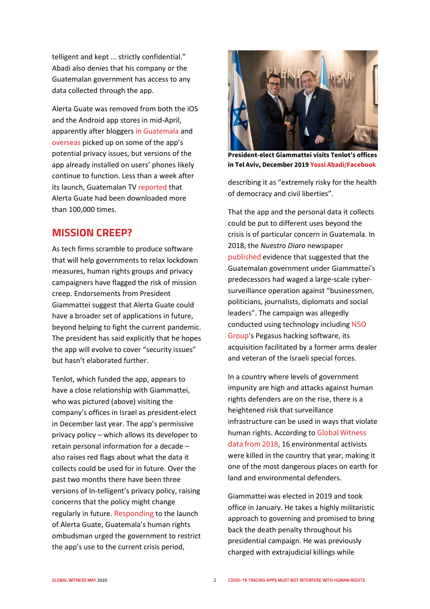telligent and kept ... strictly confidential." Abadi also denies that his company or the Guatemalan government has access to any data collected through the app.

Alerta Guate was removed from both the iOS and the Android app stores in mid-April, apparently after blogger[s in Guatemala](https://tuxtor.shekalug.org/una-auditoria-rapida-al-app-alerta-guate/) and [overseas](https://www.relato.gt/tecnologia/alerta-guate) picked up on some of the app's potential privacy issues, but versions of the app already installed on users' phones likely continue to function. Less than a week after its launch, Guatemalan TV [reported](https://www.tn23.tv/2020/03/29/aplicacion-alerta-guate-cuenta-con-100-mil-descargas-en-menos-de-una-semana/) that Alerta Guate had been downloaded more than 100,000 times.

#### **MISSION CREEP?**

As tech firms scramble to produce software that will help governments to relax lockdown measures, human rights groups and privacy campaigners have flagged the risk of mission creep. Endorsements from President Giammattei suggest that Alerta Guate could have a broader set of applications in future, beyond helping to fight the current pandemic. The president has said explicitly that he hopes the app will evolve to cover "security issues" but hasn't elaborated further.

Tenlot, which funded the app, appears to have a close relationship with Giammattei, who was pictured (above) visiting the company's offices in Israel as president-elect in December last year. The app's permissive privacy policy – which allows its developer to retain personal information for a decade – also raises red flags about what the data it collects could be used for in future. Over the past two months there have been three versions of In-telligent's privacy policy, raising concerns that the policy might change regularly in future. [Responding](https://twitter.com/PDHgt/status/1243539097815339008) to the launch of Alerta Guate, Guatemala's human rights ombudsman urged the government to restrict the app's use to the current crisis period,



**President-elect Giammattei visits Tenlot's offices in Tel Aviv, December 201[9 Yossi Abadi/Facebook](https://www.facebook.com/yossi.abadi.56/posts/10158200620166490)**

describing it as "extremely risky for the health of democracy and civil liberties".

That the app and the personal data it collects could be put to different uses beyond the crisis is of particular concern in Guatemala. In 2018, the *Nuestro Diaro* newspaper [published](https://nomada.gt/pais/la-corrupcion-no-es-normal/espionaje-ilegal-del-gobierno-aqui-esta-la-investigacion-de-nuestro-diario-parte-i/) evidence that suggested that the Guatemalan government under Giammattei's predecessors had waged a large-scale cybersurveillance operation against "businessmen, politicians, journalists, diplomats and social leaders". The campaign was allegedly conducted using technology including [NSO](https://www.globalwitness.org/en/press-releases/global-witness-stands-solidarity-other-human-rights-groups-response-cyber-surveillance-attacks/)  [Group](https://www.globalwitness.org/en/press-releases/global-witness-stands-solidarity-other-human-rights-groups-response-cyber-surveillance-attacks/)'s Pegasus hacking software, its acquisition facilitated by a former arms dealer and veteran of the Israeli special forces.

In a country where levels of government impunity are high and attacks against human rights defenders are on the rise, there is a heightened risk that surveillance infrastructure can be used in ways that violate human rights. According to [Global Witness](https://www.globalwitness.org/en/campaigns/environmental-activists/enemies-state/)  [data from 2018](https://www.globalwitness.org/en/campaigns/environmental-activists/enemies-state/), 16 environmental activists were killed in the country that year, making it one of the most dangerous places on earth for land and environmental defenders.

Giammattei was elected in 2019 and took office in January. He takes a highly militaristic approach to governing and promised to bring back the death penalty throughout his presidential campaign. He was previously charged with extrajudicial killings while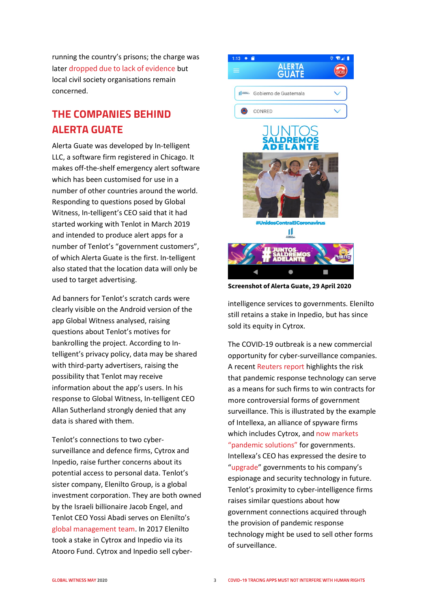running the country's prisons; the charge was later [dropped due to lack of evidence](http://www.ghrc-usa.org/2020/01/no-relief-in-sight-president-alejandro-giamattei-appears-to-be-a-new-face-backed-by-the-same-old-criminal-networks/) but local civil society organisations remain concerned.

## **THE COMPANIES BEHIND ALERTA GUATE**

Alerta Guate was developed by In-telligent LLC, a software firm registered in Chicago. It makes off-the-shelf emergency alert software which has been customised for use in a number of other countries around the world. Responding to questions posed by Global Witness, In-telligent's CEO said that it had started working with Tenlot in March 2019 and intended to produce alert apps for a number of Tenlot's "government customers", of which Alerta Guate is the first. In-telligent also stated that the location data will only be used to target advertising.

Ad banners for Tenlot's scratch cards were clearly visible on the Android version of the app Global Witness analysed, raising questions about Tenlot's motives for bankrolling the project. According to Intelligent's privacy policy, data may be shared with third-party advertisers, raising the possibility that Tenlot may receive information about the app's users. In his response to Global Witness, In-telligent CEO Allan Sutherland strongly denied that any data is shared with them.

Tenlot's connections to two cybersurveillance and defence firms, Cytrox and Inpedio, raise further concerns about its potential access to personal data. Tenlot's sister company, Elenilto Group, is a global investment corporation. They are both owned by the Israeli billionaire Jacob Engel, and Tenlot CEO Yossi Abadi serves on Elenilto's [global management team.](https://www.elenilto.com/category/Global-Management) In 2017 Elenilto took a stake in Cytrox and Inpedio via its Atooro Fund. Cytrox and Inpedio sell cyber-



**Screenshot of Alerta Guate, 29 April 2020**

intelligence services to governments. Elenilto still retains a stake in Inpedio, but has since sold its equity in Cytrox.

The COVID-19 outbreak is a new commercial opportunity for cyber-surveillance companies. A recen[t Reuters report](https://www.reuters.com/article/us-health-coronavirus-spy-specialreport/special-report-cyber-intel-firms-pitch-governments-on-spy-tools-to-trace-coronavirus-idUSKCN22A2G1) highlights the risk that pandemic response technology can serve as a means for such firms to win contracts for more controversial forms of government surveillance. This is illustrated by the example of Intellexa, an alliance of spyware firms which includes Cytrox, and now markets ["pandemic solutions"](https://intellexa.com/pandemic-solutions/) for governments. Intellexa's CEO has expressed the desire to ["upgrade"](https://www.reuters.com/article/us-health-coronavirus-spy-specialreport-idUSKCN22A2G1) governments to his company's espionage and security technology in future. Tenlot's proximity to cyber-intelligence firms raises similar questions about how government connections acquired through the provision of pandemic response technology might be used to sell other forms of surveillance.